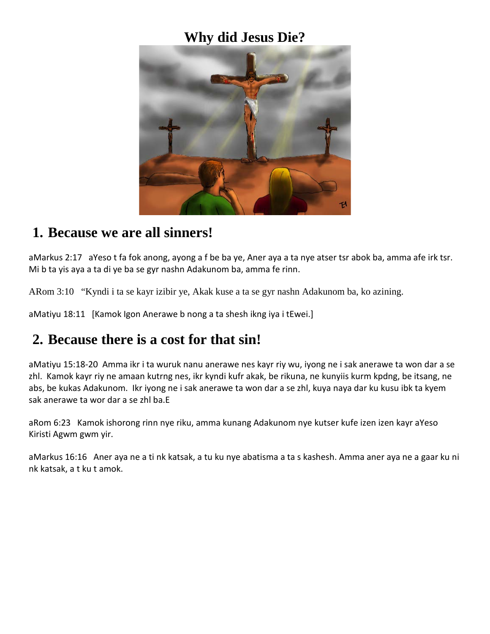#### **Why did Jesus Die?**



#### **1. Because we are all sinners!**

aMarkus 2:17 aYeso t fa fok anong, ayong a f be ba ye, Aner aya a ta nye atser tsr abok ba, amma afe irk tsr. Mi b ta yis aya a ta di ye ba se gyr nashn Adakunom ba, amma fe rinn.

ARom 3:10 "Kyndi i ta se kayr izibir ye, Akak kuse a ta se gyr nashn Adakunom ba, ko azining.

aMatiyu 18:11 [Kamok Igon Anerawe b nong a ta shesh ikng iya i tEwei.]

## **2. Because there is a cost for that sin!**

aMatiyu 15:18-20 Amma ikr i ta wuruk nanu anerawe nes kayr riy wu, iyong ne i sak anerawe ta won dar a se zhl. Kamok kayr riy ne amaan kutrng nes, ikr kyndi kufr akak, be rikuna, ne kunyiis kurm kpdng, be itsang, ne abs, be kukas Adakunom. Ikr iyong ne i sak anerawe ta won dar a se zhl, kuya naya dar ku kusu ibk ta kyem sak anerawe ta wor dar a se zhl ba.E

aRom 6:23 Kamok ishorong rinn nye riku, amma kunang Adakunom nye kutser kufe izen izen kayr aYeso Kiristi Agwm gwm yir.

aMarkus 16:16 Aner aya ne a ti nk katsak, a tu ku nye abatisma a ta s kashesh. Amma aner aya ne a gaar ku ni nk katsak, a t ku t amok.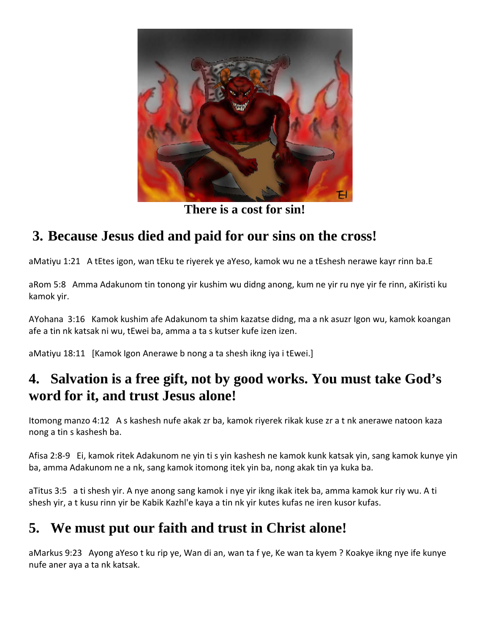

**There is a cost for sin!**

## **3. Because Jesus died and paid for our sins on the cross!**

aMatiyu 1:21 A tEtes igon, wan tEku te riyerek ye aYeso, kamok wu ne a tEshesh nerawe kayr rinn ba.E

aRom 5:8 Amma Adakunom tin tonong yir kushim wu didng anong, kum ne yir ru nye yir fe rinn, aKiristi ku kamok yir.

AYohana 3:16 Kamok kushim afe Adakunom ta shim kazatse didng, ma a nk asuzr Igon wu, kamok koangan afe a tin nk katsak ni wu, tEwei ba, amma a ta s kutser kufe izen izen.

aMatiyu 18:11 [Kamok Igon Anerawe b nong a ta shesh ikng iya i tEwei.]

## **4. Salvation is a free gift, not by good works. You must take God's word for it, and trust Jesus alone!**

Itomong manzo 4:12 A s kashesh nufe akak zr ba, kamok riyerek rikak kuse zr a t nk anerawe natoon kaza nong a tin s kashesh ba.

Afisa 2:8-9 Ei, kamok ritek Adakunom ne yin ti s yin kashesh ne kamok kunk katsak yin, sang kamok kunye yin ba, amma Adakunom ne a nk, sang kamok itomong itek yin ba, nong akak tin ya kuka ba.

aTitus 3:5 a ti shesh yir. A nye anong sang kamok i nye yir ikng ikak itek ba, amma kamok kur riy wu. A ti shesh yir, a t kusu rinn yir be Kabik Kazhl'e kaya a tin nk yir kutes kufas ne iren kusor kufas.

# **5. We must put our faith and trust in Christ alone!**

aMarkus 9:23 Ayong aYeso t ku rip ye, Wan di an, wan ta f ye, Ke wan ta kyem ? Koakye ikng nye ife kunye nufe aner aya a ta nk katsak.